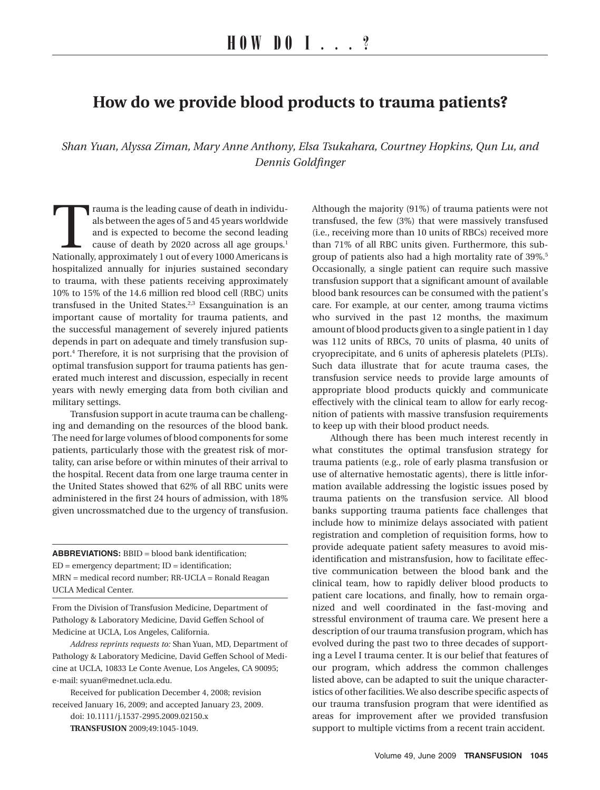# **How do we provide blood products to trauma patients?**

*Shan Yuan, Alyssa Ziman, Mary Anne Anthony, Elsa Tsukahara, Courtney Hopkins, Qun Lu, and Dennis Goldfinger*

Trauma is the leading cause of death in individuals between the ages of 5 and 45 years worldwide<br>and is expected to become the second leading<br>cause of death by 2020 across all age groups.<sup>1</sup><br>Nationally, approximately 1 out als between the ages of 5 and 45 years worldwide and is expected to become the second leading cause of death by 2020 across all age groups.<sup>1</sup> hospitalized annually for injuries sustained secondary to trauma, with these patients receiving approximately 10% to 15% of the 14.6 million red blood cell (RBC) units transfused in the United States.<sup>2,3</sup> Exsanguination is an important cause of mortality for trauma patients, and the successful management of severely injured patients depends in part on adequate and timely transfusion support.4 Therefore, it is not surprising that the provision of optimal transfusion support for trauma patients has generated much interest and discussion, especially in recent years with newly emerging data from both civilian and military settings.

Transfusion support in acute trauma can be challenging and demanding on the resources of the blood bank. The need for large volumes of blood components for some patients, particularly those with the greatest risk of mortality, can arise before or within minutes of their arrival to the hospital. Recent data from one large trauma center in the United States showed that 62% of all RBC units were administered in the first 24 hours of admission, with 18% given uncrossmatched due to the urgency of transfusion.

**ABBREVIATIONS:** BBID = blood bank identification;  $ED =$  emergency department;  $ID =$  identification; MRN = medical record number; RR-UCLA = Ronald Reagan UCLA Medical Center.

From the Division of Transfusion Medicine, Department of Pathology & Laboratory Medicine, David Geffen School of Medicine at UCLA, Los Angeles, California.

*Address reprints requests to:* Shan Yuan, MD, Department of Pathology & Laboratory Medicine, David Geffen School of Medicine at UCLA, 10833 Le Conte Avenue, Los Angeles, CA 90095; e-mail: [syuan@mednet.ucla.edu.](mailto:syuan@mednet.ucla.edu)

Received for publication December 4, 2008; revision received January 16, 2009; and accepted January 23, 2009. doi: 10.1111/j.1537-2995.2009.02150.x **TRANSFUSION** 2009;49:1045-1049.

Although the majority (91%) of trauma patients were not transfused, the few (3%) that were massively transfused (i.e., receiving more than 10 units of RBCs) received more than 71% of all RBC units given. Furthermore, this subgroup of patients also had a high mortality rate of 39%.5 Occasionally, a single patient can require such massive transfusion support that a significant amount of available blood bank resources can be consumed with the patient's care. For example, at our center, among trauma victims who survived in the past 12 months, the maximum amount of blood products given to a single patient in 1 day was 112 units of RBCs, 70 units of plasma, 40 units of cryoprecipitate, and 6 units of apheresis platelets (PLTs). Such data illustrate that for acute trauma cases, the transfusion service needs to provide large amounts of appropriate blood products quickly and communicate effectively with the clinical team to allow for early recognition of patients with massive transfusion requirements to keep up with their blood product needs.

Although there has been much interest recently in what constitutes the optimal transfusion strategy for trauma patients (e.g., role of early plasma transfusion or use of alternative hemostatic agents), there is little information available addressing the logistic issues posed by trauma patients on the transfusion service. All blood banks supporting trauma patients face challenges that include how to minimize delays associated with patient registration and completion of requisition forms, how to provide adequate patient safety measures to avoid misidentification and mistransfusion, how to facilitate effective communication between the blood bank and the clinical team, how to rapidly deliver blood products to patient care locations, and finally, how to remain organized and well coordinated in the fast-moving and stressful environment of trauma care. We present here a description of our trauma transfusion program, which has evolved during the past two to three decades of supporting a Level I trauma center. It is our belief that features of our program, which address the common challenges listed above, can be adapted to suit the unique characteristics of other facilities.We also describe specific aspects of our trauma transfusion program that were identified as areas for improvement after we provided transfusion support to multiple victims from a recent train accident.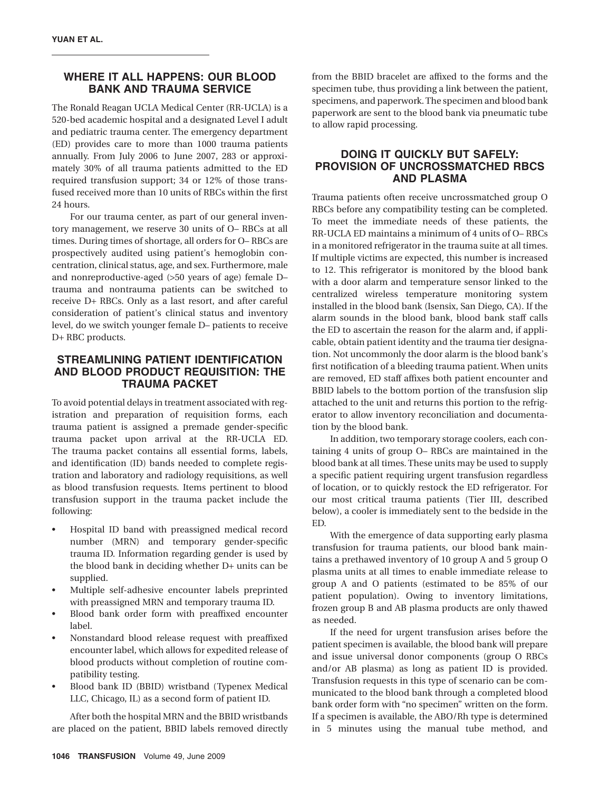## **WHERE IT ALL HAPPENS: OUR BLOOD BANK AND TRAUMA SERVICE**

The Ronald Reagan UCLA Medical Center (RR-UCLA) is a 520-bed academic hospital and a designated Level I adult and pediatric trauma center. The emergency department (ED) provides care to more than 1000 trauma patients annually. From July 2006 to June 2007, 283 or approximately 30% of all trauma patients admitted to the ED required transfusion support; 34 or 12% of those transfused received more than 10 units of RBCs within the first 24 hours.

For our trauma center, as part of our general inventory management, we reserve 30 units of O– RBCs at all times. During times of shortage, all orders for O– RBCs are prospectively audited using patient's hemoglobin concentration, clinical status, age, and sex. Furthermore, male and nonreproductive-aged (>50 years of age) female D– trauma and nontrauma patients can be switched to receive D+ RBCs. Only as a last resort, and after careful consideration of patient's clinical status and inventory level, do we switch younger female D– patients to receive D+ RBC products.

### **STREAMLINING PATIENT IDENTIFICATION AND BLOOD PRODUCT REQUISITION: THE TRAUMA PACKET**

To avoid potential delays in treatment associated with registration and preparation of requisition forms, each trauma patient is assigned a premade gender-specific trauma packet upon arrival at the RR-UCLA ED. The trauma packet contains all essential forms, labels, and identification (ID) bands needed to complete registration and laboratory and radiology requisitions, as well as blood transfusion requests. Items pertinent to blood transfusion support in the trauma packet include the following:

- Hospital ID band with preassigned medical record number (MRN) and temporary gender-specific trauma ID. Information regarding gender is used by the blood bank in deciding whether D+ units can be supplied.
- Multiple self-adhesive encounter labels preprinted with preassigned MRN and temporary trauma ID.
- Blood bank order form with preaffixed encounter label.
- Nonstandard blood release request with preaffixed encounter label, which allows for expedited release of blood products without completion of routine compatibility testing.
- Blood bank ID (BBID) wristband (Typenex Medical LLC, Chicago, IL) as a second form of patient ID.

After both the hospital MRN and the BBID wristbands are placed on the patient, BBID labels removed directly from the BBID bracelet are affixed to the forms and the specimen tube, thus providing a link between the patient, specimens, and paperwork. The specimen and blood bank paperwork are sent to the blood bank via pneumatic tube to allow rapid processing.

#### **DOING IT QUICKLY BUT SAFELY: PROVISION OF UNCROSSMATCHED RBCS AND PLASMA**

Trauma patients often receive uncrossmatched group O RBCs before any compatibility testing can be completed. To meet the immediate needs of these patients, the RR-UCLA ED maintains a minimum of 4 units of O– RBCs in a monitored refrigerator in the trauma suite at all times. If multiple victims are expected, this number is increased to 12. This refrigerator is monitored by the blood bank with a door alarm and temperature sensor linked to the centralized wireless temperature monitoring system installed in the blood bank (Isensix, San Diego, CA). If the alarm sounds in the blood bank, blood bank staff calls the ED to ascertain the reason for the alarm and, if applicable, obtain patient identity and the trauma tier designation. Not uncommonly the door alarm is the blood bank's first notification of a bleeding trauma patient. When units are removed, ED staff affixes both patient encounter and BBID labels to the bottom portion of the transfusion slip attached to the unit and returns this portion to the refrigerator to allow inventory reconciliation and documentation by the blood bank.

In addition, two temporary storage coolers, each containing 4 units of group O– RBCs are maintained in the blood bank at all times. These units may be used to supply a specific patient requiring urgent transfusion regardless of location, or to quickly restock the ED refrigerator. For our most critical trauma patients (Tier III, described below), a cooler is immediately sent to the bedside in the ED.

With the emergence of data supporting early plasma transfusion for trauma patients, our blood bank maintains a prethawed inventory of 10 group A and 5 group O plasma units at all times to enable immediate release to group A and O patients (estimated to be 85% of our patient population). Owing to inventory limitations, frozen group B and AB plasma products are only thawed as needed.

If the need for urgent transfusion arises before the patient specimen is available, the blood bank will prepare and issue universal donor components (group O RBCs and/or AB plasma) as long as patient ID is provided. Transfusion requests in this type of scenario can be communicated to the blood bank through a completed blood bank order form with "no specimen" written on the form. If a specimen is available, the ABO/Rh type is determined in 5 minutes using the manual tube method, and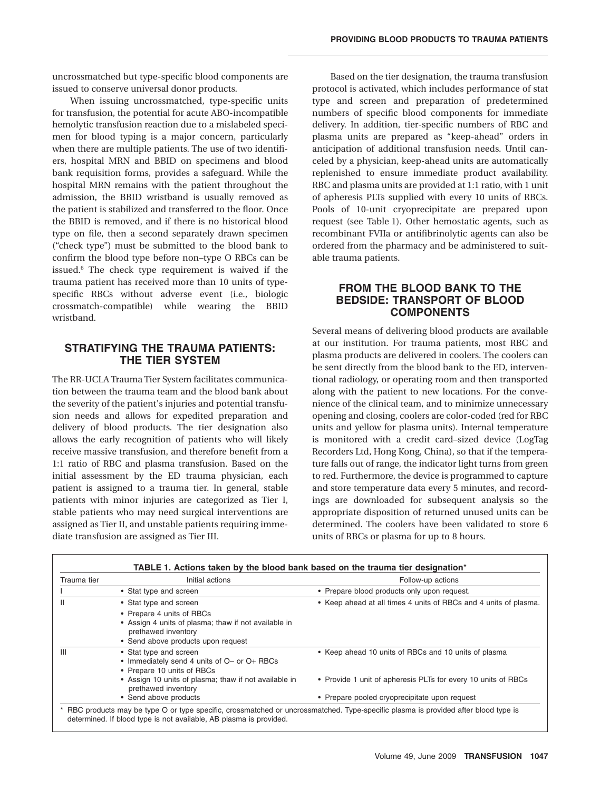uncrossmatched but type-specific blood components are issued to conserve universal donor products.

When issuing uncrossmatched, type-specific units for transfusion, the potential for acute ABO-incompatible hemolytic transfusion reaction due to a mislabeled specimen for blood typing is a major concern, particularly when there are multiple patients. The use of two identifiers, hospital MRN and BBID on specimens and blood bank requisition forms, provides a safeguard. While the hospital MRN remains with the patient throughout the admission, the BBID wristband is usually removed as the patient is stabilized and transferred to the floor. Once the BBID is removed, and if there is no historical blood type on file, then a second separately drawn specimen ("check type") must be submitted to the blood bank to confirm the blood type before non–type O RBCs can be issued.6 The check type requirement is waived if the trauma patient has received more than 10 units of typespecific RBCs without adverse event (i.e., biologic crossmatch-compatible) while wearing the BBID wristband.

#### **STRATIFYING THE TRAUMA PATIENTS: THE TIER SYSTEM**

The RR-UCLA Trauma Tier System facilitates communication between the trauma team and the blood bank about the severity of the patient's injuries and potential transfusion needs and allows for expedited preparation and delivery of blood products. The tier designation also allows the early recognition of patients who will likely receive massive transfusion, and therefore benefit from a 1:1 ratio of RBC and plasma transfusion. Based on the initial assessment by the ED trauma physician, each patient is assigned to a trauma tier. In general, stable patients with minor injuries are categorized as Tier I, stable patients who may need surgical interventions are assigned as Tier II, and unstable patients requiring immediate transfusion are assigned as Tier III.

Based on the tier designation, the trauma transfusion protocol is activated, which includes performance of stat type and screen and preparation of predetermined numbers of specific blood components for immediate delivery. In addition, tier-specific numbers of RBC and plasma units are prepared as "keep-ahead" orders in anticipation of additional transfusion needs. Until canceled by a physician, keep-ahead units are automatically replenished to ensure immediate product availability. RBC and plasma units are provided at 1:1 ratio, with 1 unit of apheresis PLTs supplied with every 10 units of RBCs. Pools of 10-unit cryoprecipitate are prepared upon request (see Table 1). Other hemostatic agents, such as recombinant FVIIa or antifibrinolytic agents can also be ordered from the pharmacy and be administered to suitable trauma patients.

# **FROM THE BLOOD BANK TO THE BEDSIDE: TRANSPORT OF BLOOD COMPONENTS**

Several means of delivering blood products are available at our institution. For trauma patients, most RBC and plasma products are delivered in coolers. The coolers can be sent directly from the blood bank to the ED, interventional radiology, or operating room and then transported along with the patient to new locations. For the convenience of the clinical team, and to minimize unnecessary opening and closing, coolers are color-coded (red for RBC units and yellow for plasma units). Internal temperature is monitored with a credit card–sized device (LogTag Recorders Ltd, Hong Kong, China), so that if the temperature falls out of range, the indicator light turns from green to red. Furthermore, the device is programmed to capture and store temperature data every 5 minutes, and recordings are downloaded for subsequent analysis so the appropriate disposition of returned unused units can be determined. The coolers have been validated to store 6 units of RBCs or plasma for up to 8 hours.

| Trauma tier | Initial actions                                                                                                                                | Follow-up actions                                                |
|-------------|------------------------------------------------------------------------------------------------------------------------------------------------|------------------------------------------------------------------|
|             | • Stat type and screen                                                                                                                         | • Prepare blood products only upon request.                      |
|             | • Stat type and screen                                                                                                                         | • Keep ahead at all times 4 units of RBCs and 4 units of plasma. |
|             | • Prepare 4 units of RBCs<br>• Assign 4 units of plasma; thaw if not available in<br>prethawed inventory<br>• Send above products upon request |                                                                  |
| Ш           | • Stat type and screen<br>• Immediately send 4 units of O- or O+ RBCs<br>• Prepare 10 units of RBCs                                            | • Keep ahead 10 units of RBCs and 10 units of plasma             |
|             | • Assign 10 units of plasma; thaw if not available in<br>prethawed inventory                                                                   | • Provide 1 unit of apheresis PLTs for every 10 units of RBCs    |
|             | • Send above products                                                                                                                          | • Prepare pooled cryoprecipitate upon request                    |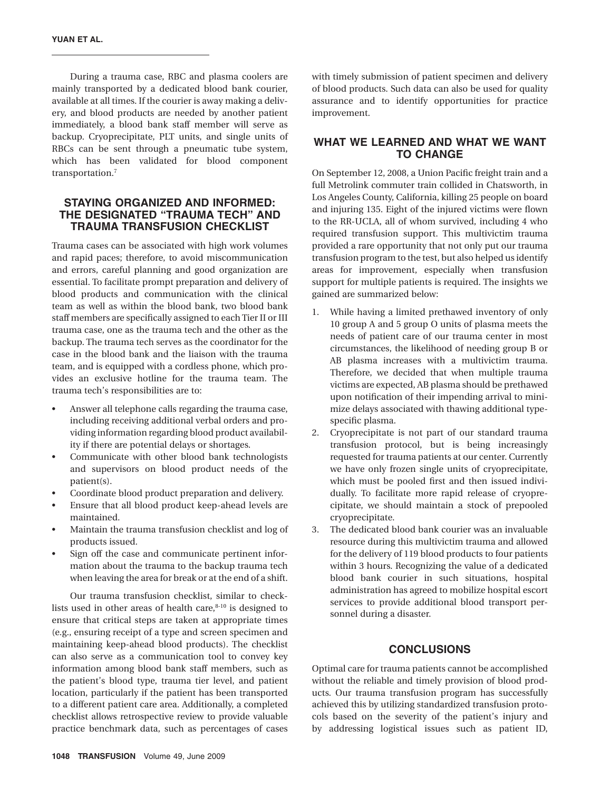During a trauma case, RBC and plasma coolers are mainly transported by a dedicated blood bank courier, available at all times. If the courier is away making a delivery, and blood products are needed by another patient immediately, a blood bank staff member will serve as backup. Cryoprecipitate, PLT units, and single units of RBCs can be sent through a pneumatic tube system, which has been validated for blood component transportation.7

#### **STAYING ORGANIZED AND INFORMED: THE DESIGNATED "TRAUMA TECH" AND TRAUMA TRANSFUSION CHECKLIST**

Trauma cases can be associated with high work volumes and rapid paces; therefore, to avoid miscommunication and errors, careful planning and good organization are essential. To facilitate prompt preparation and delivery of blood products and communication with the clinical team as well as within the blood bank, two blood bank staff members are specifically assigned to each Tier II or III trauma case, one as the trauma tech and the other as the backup. The trauma tech serves as the coordinator for the case in the blood bank and the liaison with the trauma team, and is equipped with a cordless phone, which provides an exclusive hotline for the trauma team. The trauma tech's responsibilities are to:

- Answer all telephone calls regarding the trauma case, including receiving additional verbal orders and providing information regarding blood product availability if there are potential delays or shortages.
- Communicate with other blood bank technologists and supervisors on blood product needs of the patient(s).
- Coordinate blood product preparation and delivery.
- Ensure that all blood product keep-ahead levels are maintained.
- Maintain the trauma transfusion checklist and log of products issued.
- Sign off the case and communicate pertinent information about the trauma to the backup trauma tech when leaving the area for break or at the end of a shift.

Our trauma transfusion checklist, similar to checklists used in other areas of health care,<sup>8-10</sup> is designed to ensure that critical steps are taken at appropriate times (e.g., ensuring receipt of a type and screen specimen and maintaining keep-ahead blood products). The checklist can also serve as a communication tool to convey key information among blood bank staff members, such as the patient's blood type, trauma tier level, and patient location, particularly if the patient has been transported to a different patient care area. Additionally, a completed checklist allows retrospective review to provide valuable practice benchmark data, such as percentages of cases

with timely submission of patient specimen and delivery of blood products. Such data can also be used for quality assurance and to identify opportunities for practice improvement.

## **WHAT WE LEARNED AND WHAT WE WANT TO CHANGE**

On September 12, 2008, a Union Pacific freight train and a full Metrolink commuter train collided in Chatsworth, in Los Angeles County, California, killing 25 people on board and injuring 135. Eight of the injured victims were flown to the RR-UCLA, all of whom survived, including 4 who required transfusion support. This multivictim trauma provided a rare opportunity that not only put our trauma transfusion program to the test, but also helped us identify areas for improvement, especially when transfusion support for multiple patients is required. The insights we gained are summarized below:

- 1. While having a limited prethawed inventory of only 10 group A and 5 group O units of plasma meets the needs of patient care of our trauma center in most circumstances, the likelihood of needing group B or AB plasma increases with a multivictim trauma. Therefore, we decided that when multiple trauma victims are expected, AB plasma should be prethawed upon notification of their impending arrival to minimize delays associated with thawing additional typespecific plasma.
- 2. Cryoprecipitate is not part of our standard trauma transfusion protocol, but is being increasingly requested for trauma patients at our center. Currently we have only frozen single units of cryoprecipitate, which must be pooled first and then issued individually. To facilitate more rapid release of cryoprecipitate, we should maintain a stock of prepooled cryoprecipitate.
- 3. The dedicated blood bank courier was an invaluable resource during this multivictim trauma and allowed for the delivery of 119 blood products to four patients within 3 hours. Recognizing the value of a dedicated blood bank courier in such situations, hospital administration has agreed to mobilize hospital escort services to provide additional blood transport personnel during a disaster.

## **CONCLUSIONS**

Optimal care for trauma patients cannot be accomplished without the reliable and timely provision of blood products. Our trauma transfusion program has successfully achieved this by utilizing standardized transfusion protocols based on the severity of the patient's injury and by addressing logistical issues such as patient ID,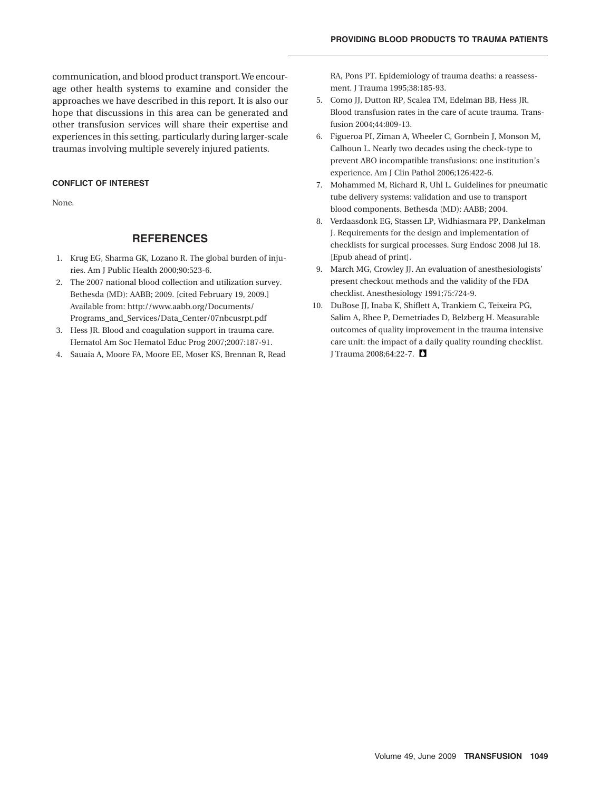communication, and blood product transport.We encourage other health systems to examine and consider the approaches we have described in this report. It is also our hope that discussions in this area can be generated and other transfusion services will share their expertise and experiences in this setting, particularly during larger-scale traumas involving multiple severely injured patients.

#### **CONFLICT OF INTEREST**

None.

#### **REFERENCES**

- 1. Krug EG, Sharma GK, Lozano R. The global burden of injuries. Am J Public Health 2000;90:523-6.
- 2. The 2007 national blood collection and utilization survey. Bethesda (MD): AABB; 2009. [cited February 19, 2009.] Available from: [http://www.aabb.org/Documents/](http://www.aabb.org/Documents) Programs\_and\_Services/Data\_Center/07nbcusrpt.pdf
- 3. Hess JR. Blood and coagulation support in trauma care. Hematol Am Soc Hematol Educ Prog 2007;2007:187-91.
- 4. Sauaia A, Moore FA, Moore EE, Moser KS, Brennan R, Read

RA, Pons PT. Epidemiology of trauma deaths: a reassessment. J Trauma 1995;38:185-93.

- 5. Como JJ, Dutton RP, Scalea TM, Edelman BB, Hess JR. Blood transfusion rates in the care of acute trauma. Transfusion 2004;44:809-13.
- 6. Figueroa PI, Ziman A, Wheeler C, Gornbein J, Monson M, Calhoun L. Nearly two decades using the check-type to prevent ABO incompatible transfusions: one institution's experience. Am J Clin Pathol 2006;126:422-6.
- 7. Mohammed M, Richard R, Uhl L. Guidelines for pneumatic tube delivery systems: validation and use to transport blood components. Bethesda (MD): AABB; 2004.
- 8. Verdaasdonk EG, Stassen LP, Widhiasmara PP, Dankelman J. Requirements for the design and implementation of checklists for surgical processes. Surg Endosc 2008 Jul 18. [Epub ahead of print].
- 9. March MG, Crowley JJ. An evaluation of anesthesiologists' present checkout methods and the validity of the FDA checklist. Anesthesiology 1991;75:724-9.
- 10. DuBose JJ, Inaba K, Shiflett A, Trankiem C, Teixeira PG, Salim A, Rhee P, Demetriades D, Belzberg H. Measurable outcomes of quality improvement in the trauma intensive care unit: the impact of a daily quality rounding checklist. J Trauma 2008;64:22-7.